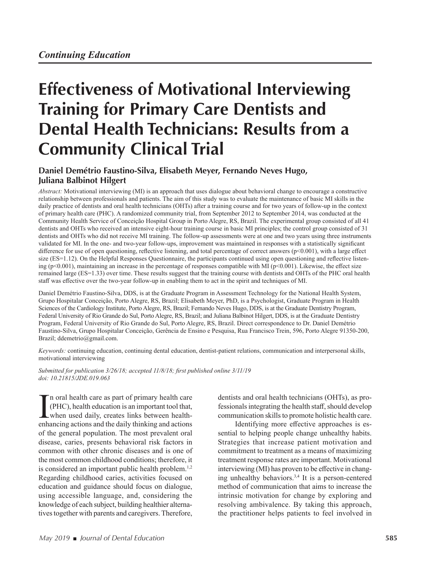# **Effectiveness of Motivational Interviewing Training for Primary Care Dentists and Dental Health Technicians: Results from a Community Clinical Trial**

### **Daniel Demétrio Faustino-Silva, Elisabeth Meyer, Fernando Neves Hugo, Juliana Balbinot Hilgert**

*Abstract:* Motivational interviewing (MI) is an approach that uses dialogue about behavioral change to encourage a constructive relationship between professionals and patients. The aim of this study was to evaluate the maintenance of basic MI skills in the daily practice of dentists and oral health technicians (OHTs) after a training course and for two years of follow-up in the context of primary health care (PHC). A randomized community trial, from September 2012 to September 2014, was conducted at the Community Health Service of Conceição Hospital Group in Porto Alegre, RS, Brazil. The experimental group consisted of all 41 dentists and OHTs who received an intensive eight-hour training course in basic MI principles; the control group consisted of 31 dentists and OHTs who did not receive MI training. The follow-up assessments were at one and two years using three instruments validated for MI. In the one- and two-year follow-ups, improvement was maintained in responses with a statistically significant difference for use of open questioning, reflective listening, and total percentage of correct answers (p<0.001), with a large effect size (ES=1.12). On the Helpful Responses Questionnaire, the participants continued using open questioning and reflective listening ( $p<0.001$ ), maintaining an increase in the percentage of responses compatible with MI ( $p<0.001$ ). Likewise, the effect size remained large (ES=1.33) over time. These results suggest that the training course with dentists and OHTs of the PHC oral health staff was effective over the two-year follow-up in enabling them to act in the spirit and techniques of MI.

Daniel Demétrio Faustino-Silva, DDS, is at the Graduate Program in Assessment Technology for the National Health System, Grupo Hospitalar Conceição, Porto Alegre, RS, Brazil; Elisabeth Meyer, PhD, is a Psychologist, Graduate Program in Health Sciences of the Cardiology Institute, Porto Alegre, RS, Brazil; Fernando Neves Hugo, DDS, is at the Graduate Dentistry Program, Federal University of Rio Grande do Sul, Porto Alegre, RS, Brazil; and Juliana Balbinot Hilgert, DDS, is at the Graduate Dentistry Program, Federal University of Rio Grande do Sul, Porto Alegre, RS, Brazil. Direct correspondence to Dr. Daniel Demétrio Faustino-Silva, Grupo Hospitalar Conceição, Gerência de Ensino e Pesquisa, Rua Francisco Trein, 596, Porto Alegre 91350-200, Brazil; ddemetrio@gmail.com.

*Keywords:* continuing education, continuing dental education, dentist-patient relations, communication and interpersonal skills, motivational interviewing

*Submitted for publication 3/26/18; accepted 11/8/18; first published online 3/11/19 doi: 10.21815/JDE.019.063*

In oral health care as part of primary health care (PHC), health education is an important tool that, when used daily, creates links between health-<br>enhancing actions and the daily thinking and actions n oral health care as part of primary health care (PHC), health education is an important tool that, when used daily, creates links between healthof the general population. The most prevalent oral disease, caries, presents behavioral risk factors in common with other chronic diseases and is one of the most common childhood conditions; therefore, it is considered an important public health problem.<sup>1,2</sup> Regarding childhood caries, activities focused on education and guidance should focus on dialogue, using accessible language, and, considering the knowledge of each subject, building healthier alternatives together with parents and caregivers. Therefore,

dentists and oral health technicians (OHTs), as professionals integrating the health staff, should develop communication skills to promote holistic health care.

Identifying more effective approaches is essential to helping people change unhealthy habits. Strategies that increase patient motivation and commitment to treatment as a means of maximizing treatment response rates are important. Motivational interviewing (MI) has proven to be effective in changing unhealthy behaviors.3,4 It is a person-centered method of communication that aims to increase the intrinsic motivation for change by exploring and resolving ambivalence. By taking this approach, the practitioner helps patients to feel involved in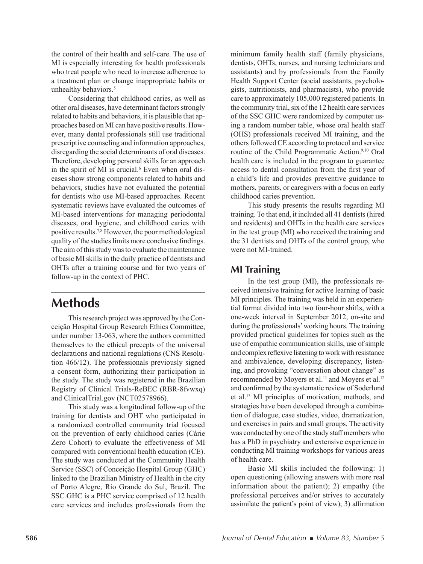the control of their health and self-care. The use of MI is especially interesting for health professionals who treat people who need to increase adherence to a treatment plan or change inappropriate habits or unhealthy behaviors.<sup>5</sup>

Considering that childhood caries, as well as other oral diseases, have determinant factors strongly related to habits and behaviors, it is plausible that approaches based on MI can have positive results. However, many dental professionals still use traditional prescriptive counseling and information approaches, disregarding the social determinants of oral diseases. Therefore, developing personal skills for an approach in the spirit of MI is crucial.<sup>6</sup> Even when oral diseases show strong components related to habits and behaviors, studies have not evaluated the potential for dentists who use MI-based approaches. Recent systematic reviews have evaluated the outcomes of MI-based interventions for managing periodontal diseases, oral hygiene, and childhood caries with positive results.7,8 However, the poor methodological quality of the studies limits more conclusive findings. The aim of this study was to evaluate the maintenance of basic MI skills in the daily practice of dentists and OHTs after a training course and for two years of follow-up in the context of PHC.

# **Methods**

This research project was approved by the Conceição Hospital Group Research Ethics Committee, under number 13-063, where the authors committed themselves to the ethical precepts of the universal declarations and national regulations (CNS Resolution 466/12). The professionals previously signed a consent form, authorizing their participation in the study. The study was registered in the Brazilian Registry of Clinical Trials-ReBEC (RBR-8fvwxq) and ClinicalTrial.gov (NCT02578966).

This study was a longitudinal follow-up of the training for dentists and OHT who participated in a randomized controlled community trial focused on the prevention of early childhood caries (Cárie Zero Cohort) to evaluate the effectiveness of MI compared with conventional health education (CE). The study was conducted at the Community Health Service (SSC) of Conceição Hospital Group (GHC) linked to the Brazilian Ministry of Health in the city of Porto Alegre, Rio Grande do Sul, Brazil. The SSC GHC is a PHC service comprised of 12 health care services and includes professionals from the

minimum family health staff (family physicians, dentists, OHTs, nurses, and nursing technicians and assistants) and by professionals from the Family Health Support Center (social assistants, psychologists, nutritionists, and pharmacists), who provide care to approximately 105,000 registered patients. In the community trial, six of the 12 health care services of the SSC GHC were randomized by computer using a random number table, whose oral health staff (OHS) professionals received MI training, and the others followed CE according to protocol and service routine of the Child Programmatic Action.<sup>9,10</sup> Oral health care is included in the program to guarantee access to dental consultation from the first year of a child's life and provides preventive guidance to mothers, parents, or caregivers with a focus on early childhood caries prevention.

This study presents the results regarding MI training. To that end, it included all 41 dentists (hired and residents) and OHTs in the health care services in the test group (MI) who received the training and the 31 dentists and OHTs of the control group, who were not MI-trained.

## **MI Training**

In the test group (MI), the professionals received intensive training for active learning of basic MI principles. The training was held in an experiential format divided into two four-hour shifts, with a one-week interval in September 2012, on-site and during the professionals' working hours. The training provided practical guidelines for topics such as the use of empathic communication skills, use of simple and complex reflexive listening to work with resistance and ambivalence, developing discrepancy, listening, and provoking "conversation about change" as recommended by Moyers et al.<sup>11</sup> and Moyers et al.<sup>12</sup> and confirmed by the systematic review of Soderlund et al.13 MI principles of motivation, methods, and strategies have been developed through a combination of dialogue, case studies, video, dramatization, and exercises in pairs and small groups. The activity was conducted by one of the study staff members who has a PhD in psychiatry and extensive experience in conducting MI training workshops for various areas of health care.

Basic MI skills included the following: 1) open questioning (allowing answers with more real information about the patient); 2) empathy (the professional perceives and/or strives to accurately assimilate the patient's point of view); 3) affirmation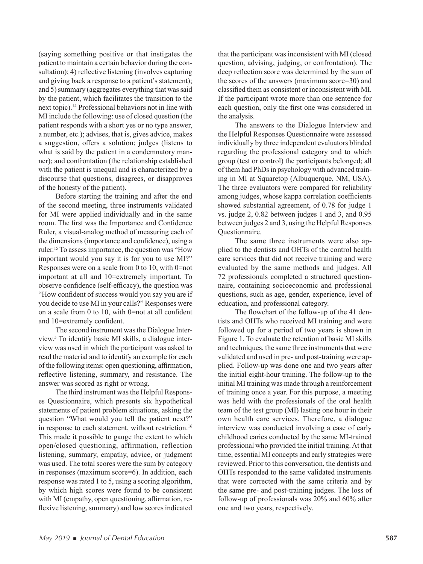(saying something positive or that instigates the patient to maintain a certain behavior during the consultation); 4) reflective listening (involves capturing and giving back a response to a patient's statement); and 5) summary (aggregates everything that was said by the patient, which facilitates the transition to the next topic).14 Professional behaviors not in line with MI include the following: use of closed question (the patient responds with a short yes or no type answer, a number, etc.); advises, that is, gives advice, makes a suggestion, offers a solution; judges (listens to what is said by the patient in a condemnatory manner); and confrontation (the relationship established with the patient is unequal and is characterized by a discourse that questions, disagrees, or disapproves of the honesty of the patient).

Before starting the training and after the end of the second meeting, three instruments validated for MI were applied individually and in the same room. The first was the Importance and Confidence Ruler, a visual-analog method of measuring each of the dimensions (importance and confidence), using a ruler.15 To assess importance, the question was "How important would you say it is for you to use MI?" Responses were on a scale from 0 to 10, with 0=not important at all and 10=extremely important. To observe confidence (self-efficacy), the question was "How confident of success would you say you are if you decide to use MI in your calls?" Responses were on a scale from 0 to 10, with 0=not at all confident and 10=extremely confident.

The second instrument was the Dialogue Interview.<sup>5</sup> To identify basic MI skills, a dialogue interview was used in which the participant was asked to read the material and to identify an example for each of the following items: open questioning, affirmation, reflective listening, summary, and resistance. The answer was scored as right or wrong.

The third instrument was the Helpful Responses Questionnaire, which presents six hypothetical statements of patient problem situations, asking the question "What would you tell the patient next?" in response to each statement, without restriction.<sup>16</sup> This made it possible to gauge the extent to which open/closed questioning, affirmation, reflection listening, summary, empathy, advice, or judgment was used. The total scores were the sum by category in responses (maximum score=6). In addition, each response was rated 1 to 5, using a scoring algorithm, by which high scores were found to be consistent with MI (empathy, open questioning, affirmation, reflexive listening, summary) and low scores indicated

that the participant was inconsistent with MI (closed question, advising, judging, or confrontation). The deep reflection score was determined by the sum of the scores of the answers (maximum score=30) and classified them as consistent or inconsistent with MI. If the participant wrote more than one sentence for each question, only the first one was considered in the analysis.

The answers to the Dialogue Interview and the Helpful Responses Questionnaire were assessed individually by three independent evaluators blinded regarding the professional category and to which group (test or control) the participants belonged; all of them had PhDs in psychology with advanced training in MI at Squaretop (Albuquerque, NM, USA). The three evaluators were compared for reliability among judges, whose kappa correlation coefficients showed substantial agreement, of 0.78 for judge 1 vs. judge 2, 0.82 between judges 1 and 3, and 0.95 between judges 2 and 3, using the Helpful Responses Questionnaire.

The same three instruments were also applied to the dentists and OHTs of the control health care services that did not receive training and were evaluated by the same methods and judges. All 72 professionals completed a structured questionnaire, containing socioeconomic and professional questions, such as age, gender, experience, level of education, and professional category.

The flowchart of the follow-up of the 41 dentists and OHTs who received MI training and were followed up for a period of two years is shown in Figure 1. To evaluate the retention of basic MI skills and techniques, the same three instruments that were validated and used in pre- and post-training were applied. Follow-up was done one and two years after the initial eight-hour training. The follow-up to the initial MI training was made through a reinforcement of training once a year. For this purpose, a meeting was held with the professionals of the oral health team of the test group (MI) lasting one hour in their own health care services. Therefore, a dialogue interview was conducted involving a case of early childhood caries conducted by the same MI-trained professional who provided the initial training. At that time, essential MI concepts and early strategies were reviewed. Prior to this conversation, the dentists and OHTs responded to the same validated instruments that were corrected with the same criteria and by the same pre- and post-training judges. The loss of follow-up of professionals was 20% and 60% after one and two years, respectively.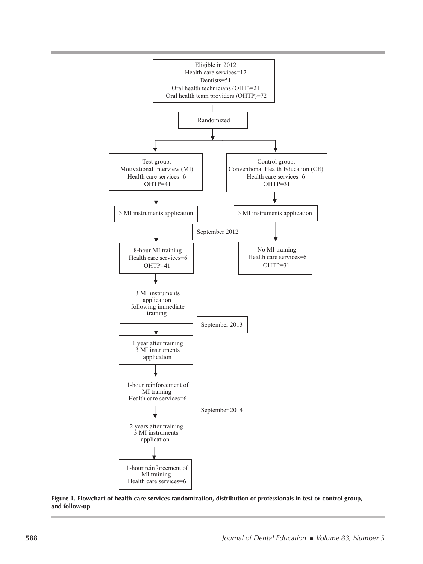

**Figure 1. Flowchart of health care services randomization, distribution of professionals in test or control group, and follow-up**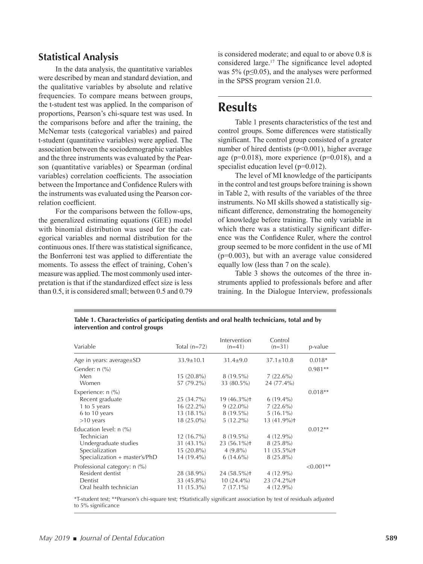### **Statistical Analysis**

In the data analysis, the quantitative variables were described by mean and standard deviation, and the qualitative variables by absolute and relative frequencies. To compare means between groups, the t-student test was applied. In the comparison of proportions, Pearson's chi-square test was used. In the comparisons before and after the training, the McNemar tests (categorical variables) and paired t-student (quantitative variables) were applied. The association between the sociodemographic variables and the three instruments was evaluated by the Pearson (quantitative variables) or Spearman (ordinal variables) correlation coefficients. The association between the Importance and Confidence Rulers with the instruments was evaluated using the Pearson correlation coefficient.

For the comparisons between the follow-ups, the generalized estimating equations (GEE) model with binomial distribution was used for the categorical variables and normal distribution for the continuous ones. If there was statistical significance, the Bonferroni test was applied to differentiate the moments. To assess the effect of training, Cohen's measure was applied. The most commonly used interpretation is that if the standardized effect size is less than 0.5, it is considered small; between 0.5 and 0.79

is considered moderate; and equal to or above 0.8 is considered large.17 The significance level adopted was  $5\%$  ( $p \leq 0.05$ ), and the analyses were performed in the SPSS program version 21.0.

# **Results**

Table 1 presents characteristics of the test and control groups. Some differences were statistically significant. The control group consisted of a greater number of hired dentists (p<0.001), higher average age ( $p=0.018$ ), more experience ( $p=0.018$ ), and a specialist education level (p=0.012).

The level of MI knowledge of the participants in the control and test groups before training is shown in Table 2, with results of the variables of the three instruments. No MI skills showed a statistically significant difference, demonstrating the homogeneity of knowledge before training. The only variable in which there was a statistically significant difference was the Confidence Ruler, where the control group seemed to be more confident in the use of MI (p=0.003), but with an average value considered equally low (less than 7 on the scale).

Table 3 shows the outcomes of the three instruments applied to professionals before and after training. In the Dialogue Interview, professionals

| Variable                                                                                                                                           | Total $(n=72)$                                                                                             | Intervention<br>$(n=41)$                                                                                                         | Control<br>$(n=31)$                                                                                                               | p-value     |
|----------------------------------------------------------------------------------------------------------------------------------------------------|------------------------------------------------------------------------------------------------------------|----------------------------------------------------------------------------------------------------------------------------------|-----------------------------------------------------------------------------------------------------------------------------------|-------------|
| Age in years: average±SD                                                                                                                           | $33.9 \pm 10.1$                                                                                            | $31.4 \pm 9.0$                                                                                                                   | $37.1 \pm 10.8$                                                                                                                   | $0.018*$    |
| Gender: n (%)                                                                                                                                      |                                                                                                            |                                                                                                                                  |                                                                                                                                   | $0.981**$   |
| Men<br>Women                                                                                                                                       | $15(20.8\%)$<br>57 (79.2%)                                                                                 | $8(19.5\%)$<br>33 (80.5%)                                                                                                        | $7(22.6\%)$<br>24 (77.4%)                                                                                                         |             |
| Experience: n (%)                                                                                                                                  |                                                                                                            |                                                                                                                                  |                                                                                                                                   | $0.018**$   |
| Recent graduate<br>1 to 5 years<br>6 to 10 years<br>$>10$ years<br>Education level: n (%)<br>Technician<br>Undergraduate studies<br>Specialization | 25 (34.7%)<br>$16(22.2\%)$<br>$13(18.1\%)$<br>$18(25.0\%)$<br>$12(16.7\%)$<br>$31(43.1\%)$<br>$15(20.8\%)$ | $19(46.3\%)$ <sup>+</sup><br>$9(22.0\%)$<br>$8(19.5\%)$<br>$5(12.2\%)$<br>$8(19.5\%)$<br>$23(56.1\%)$ <sup>+</sup><br>$4(9.8\%)$ | $6(19.4\%)$<br>$7(22.6\%)$<br>$5(16.1\%)$<br>$13(41.9\%)$ <sup>+</sup><br>$4(12.9\%)$<br>$8(25.8\%)$<br>$11(35.5\%)$ <sup>+</sup> | $0.012**$   |
| Specialization + master's/PhD                                                                                                                      | $14(19.4\%)$                                                                                               | $6(14.6\%)$                                                                                                                      | $8(25.8\%)$                                                                                                                       |             |
| Professional category: n (%)<br>Resident dentist<br>Dentist<br>Oral health technician                                                              | 28 (38.9%)<br>33 (45.8%)<br>$11(15.3\%)$                                                                   | $24(58.5\%)$ <sup>+</sup><br>$10(24.4\%)$<br>$7(17.1\%)$                                                                         | $4(12.9\%)$<br>23 (74.2%) <sup>+</sup><br>$4(12.9\%)$                                                                             | $< 0.001**$ |

**Table 1. Characteristics of participating dentists and oral health technicians, total and by intervention and control groups**

\*T-student test; \*\*Pearson's chi-square test; †Statistically significant association by test of residuals adjusted to 5% significance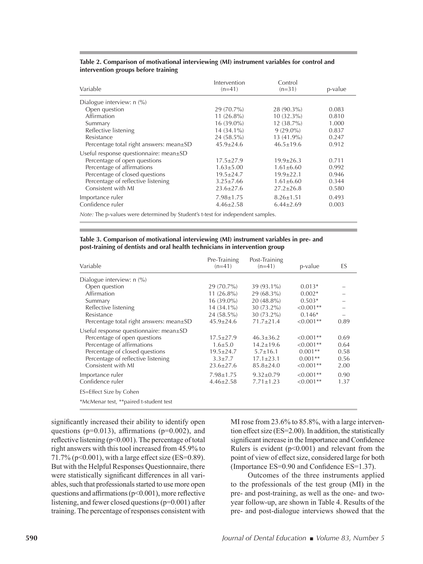| Variable                                                                        | Intervention<br>$(n=41)$ | Control<br>$(n=31)$ | p-value |
|---------------------------------------------------------------------------------|--------------------------|---------------------|---------|
| Dialogue interview: $n$ (%)                                                     |                          |                     |         |
| Open question                                                                   | 29 (70.7%)               | 28 (90.3%)          | 0.083   |
| Affirmation                                                                     | $11(26.8\%)$             | $10(32.3\%)$        | 0.810   |
| Summary                                                                         | $16(39.0\%)$             | $12(38.7\%)$        | 1.000   |
| Reflective listening                                                            | $14(34.1\%)$             | $9(29.0\%)$         | 0.837   |
| Resistance                                                                      | $24(58.5\%)$             | 13 (41.9%)          | 0.247   |
| Percentage total right answers: mean±SD                                         | $45.9 \pm 24.6$          | $46.5 \pm 19.6$     | 0.912   |
| Useful response questionnaire: mean $\pm$ SD                                    |                          |                     |         |
| Percentage of open questions                                                    | $17.5 \pm 27.9$          | $19.9 \pm 26.3$     | 0.711   |
| Percentage of affirmations                                                      | $1.63 \pm 5.00$          | $1.61 \pm 6.60$     | 0.992   |
| Percentage of closed questions                                                  | $19.5 \pm 24.7$          | $19.9 \pm 22.1$     | 0.946   |
| Percentage of reflective listening                                              | $3.25 \pm 7.66$          | $1.61 \pm 6.60$     | 0.344   |
| Consistent with MI                                                              | $23.6 \pm 27.6$          | $27.2 \pm 26.8$     | 0.580   |
| Importance ruler                                                                | $7.98 \pm 1.75$          | $8.26 \pm 1.51$     | 0.493   |
| Confidence ruler                                                                | $4.46 \pm 2.58$          | $6.44 \pm 2.69$     | 0.003   |
| Note: The p-values were determined by Student's t-test for independent samples. |                          |                     |         |

#### **Table 2. Comparison of motivational interviewing (MI) instrument variables for control and intervention groups before training**

#### **Table 3. Comparison of motivational interviewing (MI) instrument variables in pre- and post-training of dentists and oral health technicians in intervention group**

| Variable                                     | Pre-Training<br>$(n=41)$ | Post-Training<br>$(n=41)$ | p-value     | ES   |
|----------------------------------------------|--------------------------|---------------------------|-------------|------|
| Dialogue interview: $n$ $\frac{\%}{\%}$      |                          |                           |             |      |
| Open question                                | 29 (70.7%)               | 39 (93.1%)                | $0.013*$    |      |
| Affirmation                                  | $11(26.8\%)$             | $29(68.3\%)$              | $0.002*$    |      |
| Summary                                      | $16(39.0\%)$             | $20(48.8\%)$              | $0.503*$    |      |
| Reflective listening                         | $14(34.1\%)$             | 30 (73.2%)                | $< 0.001**$ |      |
| Resistance                                   | $24(58.5\%)$             | $30(73.2\%)$              | $0.146*$    |      |
| Percentage total right answers: mean±SD      | $45.9 \pm 24.6$          | $71.7 \pm 21.4$           | $<0.001**$  | 0.89 |
| Useful response questionnaire: mean $\pm$ SD |                          |                           |             |      |
| Percentage of open questions                 | $17.5 \pm 27.9$          | $46.3 \pm 36.2$           | $< 0.001**$ | 0.69 |
| Percentage of affirmations                   | $1.6 + 5.0$              | $14.2 \pm 19.6$           | $< 0.001**$ | 0.64 |
| Percentage of closed questions               | $19.5 \pm 24.7$          | $5.7 \pm 16.1$            | $0.001**$   | 0.58 |
| Percentage of reflective listening           | $3.3 \pm 7.7$            | $17.1 \pm 23.1$           | $0.001**$   | 0.56 |
| Consistent with MI                           | $23.6 \pm 27.6$          | $85.8 \pm 24.0$           | $< 0.001**$ | 2.00 |
| Importance ruler                             | $7.98 \pm 1.75$          | $9.32 \pm 0.79$           | $< 0.001**$ | 0.90 |
| Confidence ruler                             | $4.46 \pm 2.58$          | $7.71 \pm 1.23$           | $< 0.001**$ | 1.37 |
| ES=Effect Size by Cohen                      |                          |                           |             |      |
| *McMenar test, **paired t-student test       |                          |                           |             |      |

significantly increased their ability to identify open questions (p=0.013), affirmations (p=0.002), and reflective listening  $(p<0.001)$ . The percentage of total right answers with this tool increased from 45.9% to 71.7% (p<0.001), with a large effect size (ES=0.89). But with the Helpful Responses Questionnaire, there were statistically significant differences in all variables, such that professionals started to use more open questions and affirmations  $(p<0.001)$ , more reflective listening, and fewer closed questions (p=0.001) after training. The percentage of responses consistent with

MI rose from 23.6% to 85.8%, with a large intervention effect size (ES=2.00). In addition, the statistically significant increase in the Importance and Confidence Rulers is evident  $(p<0.001)$  and relevant from the point of view of effect size, considered large for both (Importance ES=0.90 and Confidence ES=1.37).

Outcomes of the three instruments applied to the professionals of the test group (MI) in the pre- and post-training, as well as the one- and twoyear follow-up, are shown in Table 4. Results of the pre- and post-dialogue interviews showed that the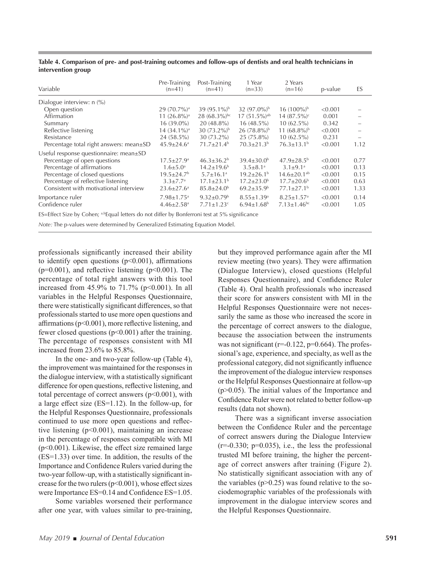| Variable                                                                                         | Pre-Training<br>$(n=41)$     | Post-Training<br>$(n=41)$    | 1 Year<br>$(n=33)$           | 2 Years<br>$(n=16)$          | p-value | ES                       |
|--------------------------------------------------------------------------------------------------|------------------------------|------------------------------|------------------------------|------------------------------|---------|--------------------------|
| Dialogue interview: n (%)                                                                        |                              |                              |                              |                              |         |                          |
| Open question                                                                                    | $29(70.7\%)$ <sup>a</sup>    | 39 $(95.1\%)$                | $32(97.0\%)^{\rm b}$         | $16(100\%)^{\rm b}$          | < 0.001 |                          |
| Affirmation                                                                                      | 11 $(26.8\%)$ <sup>a</sup>   | 28 $(68.3\%)$ bc             | $17(51.5\%)$ <sup>ab</sup>   | $14(87.5\%)c$                | 0.001   |                          |
| Summary                                                                                          | $16(39.0\%)$                 | $20(48.8\%)$                 | $16(48.5\%)$                 | $10(62.5\%)$                 | 0.342   |                          |
| Reflective listening                                                                             | $14(34.1\%)$ <sup>a</sup>    | 30 $(73.2\%)^b$              | $26 (78.8\%)^{\rm b}$        | 11 $(68.8\%)^{\rm b}$        | < 0.001 | $\overline{\phantom{0}}$ |
| Resistance                                                                                       | $24(58.5\%)$                 | $30(73.2\%)$                 | 25 (75.8%)                   | $10(62.5\%)$                 | 0.231   |                          |
| Percentage total right answers: mean±SD                                                          | $45.9 \pm 24.6^{\circ}$      | $71.7 \pm 21.4$ <sup>b</sup> | $70.3 \pm 21.3^b$            | $76.3 \pm 13.1^{\circ}$      | < 0.001 | 1.12                     |
| Useful response questionnaire: mean±SD                                                           |                              |                              |                              |                              |         |                          |
| Percentage of open questions                                                                     | $17.5 \pm 27.9$ <sup>a</sup> | $46.3 \pm 36.2^b$            | $39.4 \pm 30.0^b$            | $47.9 \pm 28.5^{\rm b}$      | < 0.001 | 0.77                     |
| Percentage of affirmations                                                                       | $1.6 \pm 5.0^{\text{a}}$     | $14.2 \pm 19.6$ <sup>b</sup> | $3.5 \pm 8.1^a$              | $3.1 \pm 9.1$ <sup>a</sup>   | < 0.001 | 0.13                     |
| Percentage of closed questions                                                                   | $19.5 \pm 24.7$ <sup>b</sup> | $5.7 \pm 16.1$ <sup>a</sup>  | $19.2 + 26.1b$               | $14.6 + 20.1^{ab}$           | < 0.001 | 0.15                     |
| Percentage of reflective listening                                                               | $3.3 \pm 7.7$ <sup>a</sup>   | $17.1 \pm 23.1^{\circ}$      | $17.2 \pm 23.0^{\rm b}$      | $17.7 \pm 20.6^{\circ}$      | < 0.001 | 0.63                     |
| Consistent with motivational interview                                                           | $23.6 \pm 27.6^{\circ}$      | $85.8 \pm 24.0$ <sup>b</sup> | $69.2 \pm 35.9^{\rm b}$      | $77.1 \pm 27.1$ <sup>b</sup> | < 0.001 | 1.33                     |
| Importance ruler                                                                                 | $7.98 \pm 1.75$ <sup>a</sup> | $9.32 \pm 0.79$ <sup>b</sup> | $8.55 \pm 1.39$ <sup>a</sup> | $8.25 \pm 1.57$ <sup>a</sup> | < 0.001 | 0.14                     |
| Confidence ruler                                                                                 | $4.46 \pm 2.58$ <sup>a</sup> | $7.71 \pm 1.23$ <sup>c</sup> | $6.94+1.68b$                 | $7.13 + 1.46$ <sup>bc</sup>  | < 0.001 | 1.05                     |
| ES=Effect Size by Cohen; $a,b$ Equal letters do not differ by Bonferroni test at 5% significance |                              |                              |                              |                              |         |                          |

**Table 4. Comparison of pre- and post-training outcomes and follow-ups of dentists and oral health technicians in intervention group** 

*Note:* The p-values were determined by Generalized Estimating Equation Model.

professionals significantly increased their ability to identify open questions  $(p<0.001)$ , affirmations  $(p=0.001)$ , and reflective listening  $(p<0.001)$ . The percentage of total right answers with this tool increased from 45.9% to  $71.7\%$  ( $p<0.001$ ). In all variables in the Helpful Responses Questionnaire, there were statistically significant differences, so that professionals started to use more open questions and affirmations ( $p<0.001$ ), more reflective listening, and fewer closed questions  $(p<0.001)$  after the training. The percentage of responses consistent with MI increased from 23.6% to 85.8%.

In the one- and two-year follow-up (Table 4), the improvement was maintained for the responses in the dialogue interview, with a statistically significant difference for open questions, reflective listening, and total percentage of correct answers  $(p<0.001)$ , with a large effect size (ES=1.12). In the follow-up, for the Helpful Responses Questionnaire, professionals continued to use more open questions and reflective listening (p<0.001), maintaining an increase in the percentage of responses compatible with MI  $(p<0.001)$ . Likewise, the effect size remained large (ES=1.33) over time. In addition, the results of the Importance and Confidence Rulers varied during the two-year follow-up, with a statistically significant increase for the two rulers ( $p<0.001$ ), whose effect sizes were Importance ES=0.14 and Confidence ES=1.05.

Some variables worsened their performance after one year, with values similar to pre-training,

but they improved performance again after the MI review meeting (two years). They were affirmation (Dialogue Interview), closed questions (Helpful Responses Questionnaire), and Confidence Ruler (Table 4). Oral health professionals who increased their score for answers consistent with MI in the Helpful Responses Questionnaire were not necessarily the same as those who increased the score in the percentage of correct answers to the dialogue, because the association between the instruments was not significant ( $r=-0.122$ ,  $p=0.664$ ). The professional's age, experience, and specialty, as well as the professional category, did not significantly influence the improvement of the dialogue interview responses or the Helpful Responses Questionnaire at follow-up  $(p>0.05)$ . The initial values of the Importance and Confidence Ruler were not related to better follow-up results (data not shown).

There was a significant inverse association between the Confidence Ruler and the percentage of correct answers during the Dialogue Interview  $(r=-0.330; p=0.035)$ , i.e., the less the professional trusted MI before training, the higher the percentage of correct answers after training (Figure 2). No statistically significant association with any of the variables  $(p>0.25)$  was found relative to the sociodemographic variables of the professionals with improvement in the dialogue interview scores and the Helpful Responses Questionnaire.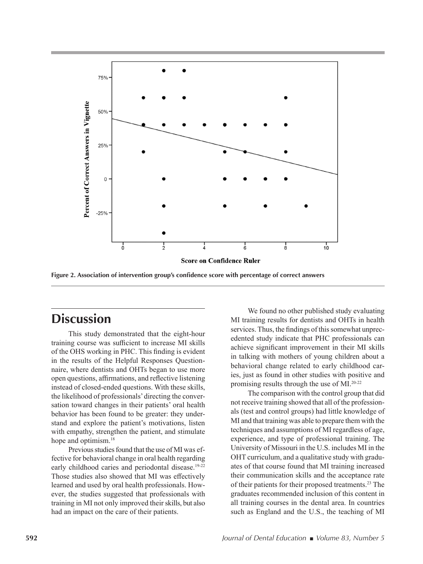

**Figure 2. Association of intervention group's confidence score with percentage of correct answers**

# **Discussion**

This study demonstrated that the eight-hour training course was sufficient to increase MI skills of the OHS working in PHC. This finding is evident in the results of the Helpful Responses Questionnaire, where dentists and OHTs began to use more open questions, affirmations, and reflective listening instead of closed-ended questions. With these skills, the likelihood of professionals' directing the conversation toward changes in their patients' oral health behavior has been found to be greater: they understand and explore the patient's motivations, listen with empathy, strengthen the patient, and stimulate hope and optimism.<sup>18</sup>

Previous studies found that the use of MI was effective for behavioral change in oral health regarding early childhood caries and periodontal disease.<sup>19-22</sup> Those studies also showed that MI was effectively learned and used by oral health professionals. However, the studies suggested that professionals with training in MI not only improved their skills, but also had an impact on the care of their patients.

We found no other published study evaluating MI training results for dentists and OHTs in health services. Thus, the findings of this somewhat unprecedented study indicate that PHC professionals can achieve significant improvement in their MI skills in talking with mothers of young children about a behavioral change related to early childhood caries, just as found in other studies with positive and promising results through the use of MI.20-22

The comparison with the control group that did not receive training showed that all of the professionals (test and control groups) had little knowledge of MI and that training was able to prepare them with the techniques and assumptions of MI regardless of age, experience, and type of professional training. The University of Missouri in the U.S. includes MI in the OHT curriculum, and a qualitative study with graduates of that course found that MI training increased their communication skills and the acceptance rate of their patients for their proposed treatments.23 The graduates recommended inclusion of this content in all training courses in the dental area. In countries such as England and the U.S., the teaching of MI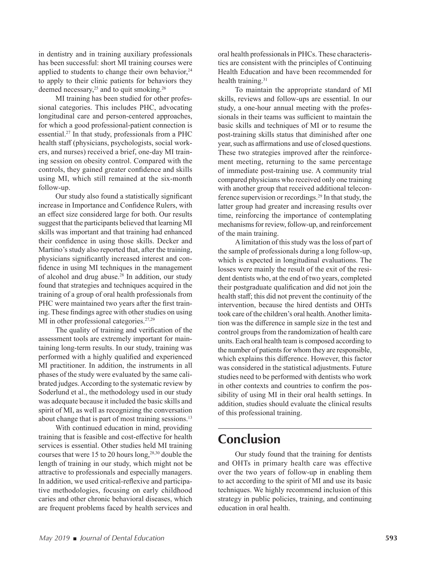in dentistry and in training auxiliary professionals has been successful: short MI training courses were applied to students to change their own behavior,  $24$ to apply to their clinic patients for behaviors they deemed necessary, $^{25}$  and to quit smoking. $^{26}$ 

MI training has been studied for other professional categories. This includes PHC, advocating longitudinal care and person-centered approaches, for which a good professional-patient connection is essential.27 In that study, professionals from a PHC health staff (physicians, psychologists, social workers, and nurses) received a brief, one-day MI training session on obesity control. Compared with the controls, they gained greater confidence and skills using MI, which still remained at the six-month follow-up.

Our study also found a statistically significant increase in Importance and Confidence Rulers, with an effect size considered large for both. Our results suggest that the participants believed that learning MI skills was important and that training had enhanced their confidence in using those skills. Decker and Martino's study also reported that, after the training, physicians significantly increased interest and confidence in using MI techniques in the management of alcohol and drug abuse.<sup>28</sup> In addition, our study found that strategies and techniques acquired in the training of a group of oral health professionals from PHC were maintained two years after the first training. These findings agree with other studies on using MI in other professional categories.<sup>27,29</sup>

The quality of training and verification of the assessment tools are extremely important for maintaining long-term results. In our study, training was performed with a highly qualified and experienced MI practitioner. In addition, the instruments in all phases of the study were evaluated by the same calibrated judges. According to the systematic review by Soderlund et al., the methodology used in our study was adequate because it included the basic skills and spirit of MI, as well as recognizing the conversation about change that is part of most training sessions.<sup>13</sup>

With continued education in mind, providing training that is feasible and cost-effective for health services is essential. Other studies held MI training courses that were 15 to 20 hours long,<sup>28,30</sup> double the length of training in our study, which might not be attractive to professionals and especially managers. In addition, we used critical-reflexive and participative methodologies, focusing on early childhood caries and other chronic behavioral diseases, which are frequent problems faced by health services and

oral health professionals in PHCs. These characteristics are consistent with the principles of Continuing Health Education and have been recommended for health training.<sup>31</sup>

To maintain the appropriate standard of MI skills, reviews and follow-ups are essential. In our study, a one-hour annual meeting with the professionals in their teams was sufficient to maintain the basic skills and techniques of MI or to resume the post-training skills status that diminished after one year, such as affirmations and use of closed questions. These two strategies improved after the reinforcement meeting, returning to the same percentage of immediate post-training use. A community trial compared physicians who received only one training with another group that received additional teleconference supervision or recordings.<sup>29</sup> In that study, the latter group had greater and increasing results over time, reinforcing the importance of contemplating mechanisms for review, follow-up, and reinforcement of the main training.

A limitation of this study was the loss of part of the sample of professionals during a long follow-up, which is expected in longitudinal evaluations. The losses were mainly the result of the exit of the resident dentists who, at the end of two years, completed their postgraduate qualification and did not join the health staff; this did not prevent the continuity of the intervention, because the hired dentists and OHTs took care of the children's oral health. Another limitation was the difference in sample size in the test and control groups from the randomization of health care units. Each oral health team is composed according to the number of patients for whom they are responsible, which explains this difference. However, this factor was considered in the statistical adjustments. Future studies need to be performed with dentists who work in other contexts and countries to confirm the possibility of using MI in their oral health settings. In addition, studies should evaluate the clinical results of this professional training.

# **Conclusion**

Our study found that the training for dentists and OHTs in primary health care was effective over the two years of follow-up in enabling them to act according to the spirit of MI and use its basic techniques. We highly recommend inclusion of this strategy in public policies, training, and continuing education in oral health.